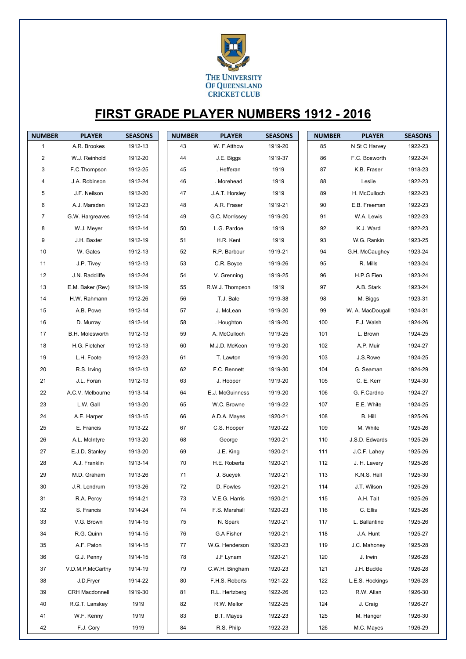

## **FIRST GRADE PLAYER NUMBERS 1912 - 2016**

| <b>NUMBER</b>  | <b>PLAYER</b>          | <b>SEASONS</b> | <b>NUMBER</b> | <b>PLAYER</b>   | <b>SEASONS</b> | <b>NUMBER</b> | <b>PLAYER</b>    | <b>SEASONS</b> |
|----------------|------------------------|----------------|---------------|-----------------|----------------|---------------|------------------|----------------|
| $\mathbf{1}$   | A.R. Brookes           | 1912-13        | 43            | W. F.Atthow     | 1919-20        | 85            | N St C Harvey    | 1922-23        |
| $\overline{c}$ | W.J. Reinhold          | 1912-20        | 44            | J.E. Biggs      | 1919-37        | 86            | F.C. Bosworth    | 1922-24        |
| 3              | F.C.Thompson           | 1912-25        | 45            | . Hefferan      | 1919           | 87            | K.B. Fraser      | 1918-23        |
| 4              | J.A. Robinson          | 1912-24        | 46            | . Morehead      | 1919           | 88            | Leslie           | 1922-23        |
| 5              | J.F. Neilson           | 1912-20        | 47            | J.A.T. Horsley  | 1919           | 89            | H. McCulloch     | 1922-23        |
| 6              | A.J. Marsden           | 1912-23        | 48            | A.R. Fraser     | 1919-21        | 90            | E.B. Freeman     | 1922-23        |
| $\overline{7}$ | G.W. Hargreaves        | 1912-14        | 49            | G.C. Morrissey  | 1919-20        | 91            | W.A. Lewis       | 1922-23        |
| 8              | W.J. Meyer             | 1912-14        | 50            | L.G. Pardoe     | 1919           | 92            | K.J. Ward        | 1922-23        |
| 9              | J.H. Baxter            | 1912-19        | 51            | H.R. Kent       | 1919           | 93            | W.G. Rankin      | 1923-25        |
| 10             | W. Gates               | 1912-13        | 52            | R.P. Barbour    | 1919-21        | 94            | G.H. McCaughey   | 1923-24        |
| 11             | J.P. Tivey             | 1912-13        | 53            | C.R. Boyce      | 1919-26        | 95            | R. Mills         | 1923-24        |
| 12             | J.N. Radcliffe         | 1912-24        | 54            | V. Grenning     | 1919-25        | 96            | H.P.G Fien       | 1923-24        |
| 13             | E.M. Baker (Rev)       | 1912-19        | 55            | R.W.J. Thompson | 1919           | 97            | A.B. Stark       | 1923-24        |
| 14             | H.W. Rahmann           | 1912-26        | 56            | T.J. Bale       | 1919-38        | 98            | M. Biggs         | 1923-31        |
| 15             | A.B. Powe              | 1912-14        | 57            | J. McLean       | 1919-20        | 99            | W. A. MacDougall | 1924-31        |
| 16             | D. Murray              | 1912-14        | 58            | . Houghton      | 1919-20        | 100           | F.J. Walsh       | 1924-26        |
| 17             | <b>B.H. Molesworth</b> | 1912-13        | 59            | A. McCulloch    | 1919-25        | 101           | L. Brown         | 1924-25        |
| 18             | H.G. Fletcher          | 1912-13        | 60            | M.J.D. McKeon   | 1919-20        | 102           | A.P. Muir        | 1924-27        |
| 19             | L.H. Foote             | 1912-23        | 61            | T. Lawton       | 1919-20        | 103           | J.S.Rowe         | 1924-25        |
| 20             | R.S. Irving            | 1912-13        | 62            | F.C. Bennett    | 1919-30        | 104           | G. Seaman        | 1924-29        |
| 21             | J.L. Foran             | 1912-13        | 63            | J. Hooper       | 1919-20        | 105           | C. E. Kerr       | 1924-30        |
| 22             | A.C.V. Melbourne       | 1913-14        | 64            | E.J. McGuinness | 1919-20        | 106           | G. F.Cardno      | 1924-27        |
| 23             | L.W. Gall              | 1913-20        | 65            | W.C. Browne     | 1919-22        | 107           | E.E. White       | 1924-25        |
| 24             | A.E. Harper            | 1913-15        | 66            | A.D.A. Mayes    | 1920-21        | 108           | B. Hill          | 1925-26        |
| 25             | E. Francis             | 1913-22        | 67            | C.S. Hooper     | 1920-22        | 109           | M. White         | 1925-26        |
| 26             | A.L. McIntyre          | 1913-20        | 68            | George          | 1920-21        | 110           | J.S.D. Edwards   | 1925-26        |
| 27             | E.J.D. Stanley         | 1913-20        | 69            | J.E. King       | 1920-21        | 111           | J.C.F. Lahey     | 1925-26        |
| 28             | A.J. Franklin          | 1913-14        | $70\,$        | H.E. Roberts    | 1920-21        | 112           | J. H. Lavery     | 1925-26        |
| 29             | M.D. Graham            | 1913-26        | 71            | J. Sueyek       | 1920-21        | 113           | K.N.S. Hall      | 1925-30        |
| 30             | J.R. Lendrum           | 1913-26        | 72            | D. Fowles       | 1920-21        | 114           | J.T. Wilson      | 1925-26        |
| 31             | R.A. Percy             | 1914-21        | 73            | V.E.G. Harris   | 1920-21        | 115           | A.H. Tait        | 1925-26        |
| 32             | S. Francis             | 1914-24        | 74            | F.S. Marshall   | 1920-23        | 116           | C. Ellis         | 1925-26        |
| 33             | V.G. Brown             | 1914-15        | 75            | N. Spark        | 1920-21        | 117           | L. Ballantine    | 1925-26        |
| 34             | R.G. Quinn             | 1914-15        | 76            | G.A Fisher      | 1920-21        | 118           | J.A. Hunt        | 1925-27        |
| 35             | A.F. Paton             | 1914-15        | 77            | W.G. Henderson  | 1920-23        | 119           | J.C. Mahoney     | 1925-28        |
| 36             | G.J. Penny             | 1914-15        | 78            | J.F Lynam       | 1920-21        | 120           | J. Irwin         | 1926-28        |
| 37             | V.D.M.P.McCarthy       | 1914-19        | 79            | C.W.H. Bingham  | 1920-23        | 121           | J.H. Buckle      | 1926-28        |
| 38             | J.D.Fryer              | 1914-22        | 80            | F.H.S. Roberts  | 1921-22        | 122           | L.E.S. Hockings  | 1926-28        |
| 39             | <b>CRH Macdonnell</b>  | 1919-30        | 81            | R.L. Hertzberg  | 1922-26        | 123           | R.W. Allan       | 1926-30        |
| 40             | R.G.T. Lanskey         | 1919           | 82            | R.W. Mellor     | 1922-25        | 124           | J. Craig         | 1926-27        |
| 41             | W.F. Kenny             | 1919           | 83            | B.T. Mayes      | 1922-23        | 125           | M. Hanger        | 1926-30        |
| 42             | F.J. Cory              | 1919           | 84            | R.S. Philp      | 1922-23        | 126           | M.C. Mayes       | 1926-29        |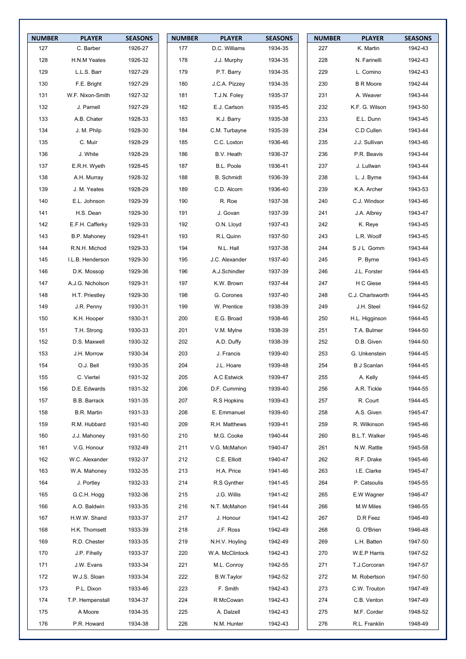| <b>NUMBER</b> | <b>PLAYER</b>       | <b>SEASONS</b> | <b>NUMBER</b> | <b>PLAYER</b>     | <b>SEASONS</b> | <b>NUMBER</b> | <b>PLAYER</b>      | <b>SEASONS</b> |
|---------------|---------------------|----------------|---------------|-------------------|----------------|---------------|--------------------|----------------|
| 127           | C. Barber           | 1926-27        | 177           | D.C. Williams     | 1934-35        | 227           | K. Martin          | 1942-43        |
| 128           | H.N.M Yeates        | 1926-32        | 178           | J.J. Murphy       | 1934-35        | 228           | N. Farinelli       | 1942-43        |
| 129           | L.L.S. Barr         | 1927-29        | 179           | P.T. Barry        | 1934-35        | 229           | L. Comino          | 1942-43        |
| 130           | F.E. Bright         | 1927-29        | 180           | J.C.A. Pizzey     | 1934-35        | 230           | <b>B R Moore</b>   | 1942-44        |
| 131           | W.F. Nixon-Smith    | 1927-32        | 181           | T.J.N. Foley      | 1935-37        | 231           | A. Weaver          | 1943-44        |
| 132           | J. Parnell          | 1927-29        | 182           | E.J. Carlson      | 1935-45        | 232           | K.F. G. Wilson     | 1943-50        |
| 133           | A.B. Chater         | 1928-33        | 183           | K.J. Barry        | 1935-38        | 233           | E.L. Dunn          | 1943-45        |
| 134           | J. M. Philp         | 1928-30        | 184           | C.M. Turbayne     | 1935-39        | 234           | C.D Cullen         | 1943-44        |
| 135           | C. Muir             | 1928-29        | 185           | C.C. Loxton       | 1936-46        | 235           | J.J. Sullivan      | 1943-46        |
| 136           | J. White            | 1928-29        | 186           | B.V. Heath        | 1936-37        | 236           | P.R. Beavis        | 1943-44        |
| 137           | E.R.H. Wyeth        | 1928-45        | 187           | B.L. Poole        | 1936-41        | 237           | J. Lullwan         | 1943-44        |
| 138           | A.H. Murray         | 1928-32        | 188           | <b>B.</b> Schmidt | 1936-39        | 238           | L. J. Byrne        | 1943-44        |
| 139           | J. M. Yeates        | 1928-29        | 189           | C.D. Alcorn       | 1936-40        | 239           | K.A. Archer        | 1943-53        |
| 140           | E.L. Johnson        | 1929-39        | 190           | R. Roe            | 1937-38        | 240           | C.J. Windsor       | 1943-46        |
| 141           | H.S. Dean           | 1929-30        | 191           | J. Govan          | 1937-39        | 241           | J.A. Albrey        | 1943-47        |
| 142           | E.F.H. Cafferky     | 1929-33        | 192           | O.N. Lloyd        | 1937-43        | 242           | K. Reye            | 1943-45        |
| 143           | B.P. Mahoney        | 1929-41        | 193           | R.L Quinn         | 1937-50        | 243           | L.R. Woolf         | 1943-45        |
| 144           | R.N.H. Michod       | 1929-33        | 194           | N.L. Hall         | 1937-38        | 244           | S J L Gomm         | 1943-44        |
| 145           | I.L.B. Henderson    | 1929-30        | 195           | J.C. Alexander    | 1937-40        | 245           | P. Byrne           | 1943-45        |
| 146           | D.K. Mossop         | 1929-36        | 196           | A.J.Schindler     | 1937-39        | 246           | J.L. Forster       | 1944-45        |
| 147           | A.J.G. Nicholson    | 1929-31        | 197           | K.W. Brown        | 1937-44        | 247           | H C Giese          | 1944-45        |
| 148           | H.T. Priestley      | 1929-30        | 198           | G. Corones        | 1937-40        | 248           | C.J. Charlsworth   | 1944-45        |
| 149           | J.R. Penny          | 1930-31        | 199           | W. Prentice       | 1938-39        | 249           | J.H. Steel         | 1944-52        |
| 150           | K.H. Hooper         | 1930-31        | 200           | E.G. Broad        | 1938-46        | 250           | H.L. Higginson     | 1944-45        |
| 151           | T.H. Strong         | 1930-33        | 201           | V.M. Mylne        | 1938-39        | 251           | T.A. Bulmer        | 1944-50        |
| 152           | D.S. Maxwell        | 1930-32        | 202           | A.D. Duffy        | 1938-39        | 252           | D.B. Given         | 1944-50        |
| 153           | J.H. Morrow         | 1930-34        | 203           | J. Francis        | 1939-40        | 253           | G. Unkenstein      | 1944-45        |
| 154           | O.J. Bell           | 1930-35        | 204           | J.L. Hoare        | 1939-48        | 254           | <b>B</b> J Scanlan | 1944-45        |
| 155           | C. Viertel          | 1931-32        | 205           | A.C Estwick       | 1939-47        | 255           | A. Kelly           | 1944-45        |
| 156           | D.E. Edwards        | 1931-32        | 206           | D.F. Cumming      | 1939-40        | 256           | A.R. Tickle        | 1944-55        |
| 157           | <b>B.B. Barrack</b> | 1931-35        | 207           | R.S Hopkins       | 1939-43        | 257           | R. Court           | 1944-45        |
| 158           | B.R. Martin         | 1931-33        | 208           | E. Emmanuel       | 1939-40        | 258           | A.S. Given         | 1945-47        |
| 159           | R.M. Hubbard        | 1931-40        | 209           | R.H. Matthews     | 1939-41        | 259           | R. Wilkinson       | 1945-46        |
| 160           | J.J. Mahoney        | 1931-50        | 210           | M.G. Cooke        | 1940-44        | 260           | B.L.T. Walker      | 1945-46        |
| 161           | V.G. Honour         | 1932-49        | 211           | V.G. McMahon      | 1940-47        | 261           | N.W. Rattle        | 1945-58        |
| 162           | W.C. Alexander      | 1932-37        | 212           | C.E. Elliott      | 1940-47        | 262           | R.F. Drake         | 1945-46        |
| 163           | W.A. Mahoney        | 1932-35        | 213           | H.A. Price        | 1941-46        | 263           | I.E. Clarke        | 1945-47        |
| 164           | J. Portley          | 1932-33        | 214           | R.S Gynther       | 1941-45        | 264           | P. Catsoulis       | 1945-55        |
| 165           | G.C.H. Hogg         | 1932-36        | 215           | J.G. Willis       | 1941-42        | 265           | E.W Wagner         | 1946-47        |
| 166           | A.O. Baldwin        | 1933-35        | 216           | N.T. McMahon      | 1941-44        | 266           | M.W Miles          | 1946-55        |
| 167           | H.W.W. Shand        | 1933-37        | 217           | J. Honour         | 1941-42        | 267           | D.R Feez           | 1946-49        |
| 168           | H.K. Thomsett       | 1933-39        | 218           | J.F. Ross         | 1942-49        | 268           | G. O'Brien         | 1946-48        |
| 169           | R.D. Chester        | 1933-35        | 219           | N.H.V. Hoyling    | 1942-49        | 269           | L.H. Batten        | 1947-50        |
| 170           | J.P. Fihelly        | 1933-37        | 220           | W.A. McClintock   | 1942-43        | 270           | W.E.P Harris       | 1947-52        |
| 171           | J.W. Evans          | 1933-34        | 221           | M.L. Conroy       | 1942-55        | 271           | T.J.Corcoran       | 1947-57        |
| 172           | W.J.S. Sloan        | 1933-34        | 222           | B.W.Taylor        | 1942-52        | 272           | M. Robertson       | 1947-50        |
| 173           | P.L. Dixon          | 1933-46        | 223           | F. Smith          | 1942-43        | 273           | C.W. Trouton       | 1947-49        |
| 174           | T.P. Hempenstall    | 1934-37        | 224           | R McCowan         | 1942-43        | 274           | C.B. Venton        | 1947-49        |
| 175           | A Moore             | 1934-35        | 225           | A. Dalzell        | 1942-43        | 275           | M.F. Corder        | 1948-52        |
| 176           | P.R. Howard         | 1934-38        | 226           | N.M. Hunter       | 1942-43        | 276           | R.L. Franklin      | 1948-49        |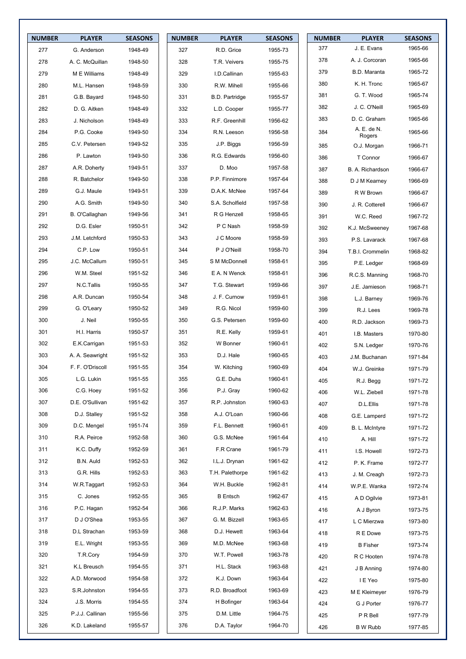| <b>NUMBER</b> | <b>PLAYER</b>    | <b>SEASONS</b> | <b>NUMBER</b> | <b>PLAYER</b>         | <b>SEASONS</b> | <b>NUMBER</b> | <b>PLAYER</b>         | <b>SEASONS</b> |
|---------------|------------------|----------------|---------------|-----------------------|----------------|---------------|-----------------------|----------------|
| 277           | G. Anderson      | 1948-49        | 327           | R.D. Grice            | 1955-73        | 377           | J. E. Evans           | 1965-66        |
| 278           | A. C. McQuillan  | 1948-50        | 328           | T.R. Veivers          | 1955-75        | 378           | A. J. Corcoran        | 1965-66        |
| 279           | M E Williams     | 1948-49        | 329           | I.D.Callinan          | 1955-63        | 379           | <b>B.D. Maranta</b>   | 1965-72        |
| 280           | M.L. Hansen      | 1948-59        | 330           | R.W. Mihell           | 1955-66        | 380           | K. H. Tronc           | 1965-67        |
| 281           | G.B. Bayard      | 1948-50        | 331           | <b>B.D. Partridge</b> | 1955-57        | 381           | G. T. Wood            | 1965-74        |
| 282           | D. G. Aitken     | 1948-49        | 332           | L.D. Cooper           | 1955-77        | 382           | J. C. O'Neill         | 1965-69        |
| 283           | J. Nicholson     | 1948-49        | 333           | R.F. Greenhill        | 1956-62        | 383           | D. C. Graham          | 1965-66        |
| 284           | P.G. Cooke       | 1949-50        | 334           | R.N. Leeson           | 1956-58        | 384           | A. E. de N.           | 1965-66        |
| 285           | C.V. Petersen    | 1949-52        | 335           | J.P. Biggs            | 1956-59        | 385           | Rogers<br>O.J. Morgan | 1966-71        |
| 286           | P. Lawton        | 1949-50        | 336           | R.G. Edwards          | 1956-60        | 386           | T Connor              | 1966-67        |
| 287           | A.R. Doherty     | 1949-51        | 337           | D. Moo                | 1957-58        | 387           | B. A. Richardson      | 1966-67        |
| 288           | R. Batchelor     | 1949-50        | 338           | P.P. Finnimore        | 1957-64        | 388           | D J M Kearney         | 1966-69        |
| 289           | G.J. Maule       | 1949-51        | 339           | D.A.K. McNee          | 1957-64        | 389           | R W Brown             | 1966-67        |
| 290           | A.G. Smith       | 1949-50        | 340           | S.A. Scholfield       | 1957-58        | 390           | J. R. Cotterell       | 1966-67        |
| 291           | B. O'Callaghan   | 1949-56        | 341           | R G Henzell           | 1958-65        | 391           | W.C. Reed             | 1967-72        |
| 292           | D.G. Esler       | 1950-51        | 342           | P C Nash              | 1958-59        | 392           | K.J. McSweeney        | 1967-68        |
| 293           | J.M. Letchford   | 1950-53        | 343           | J C Moore             | 1958-59        | 393           | P.S. Lavarack         | 1967-68        |
| 294           | C.P. Low         | 1950-51        | 344           | P J O'Neill           | 1958-70        | 394           | T.B.I. Crommelin      | 1968-82        |
| 295           | J.C. McCallum    | 1950-51        | 345           | S M McDonnell         | 1958-61        | 395           | P.E. Ledger           | 1968-69        |
| 296           | W.M. Steel       | 1951-52        | 346           | E A. N Wenck          | 1958-61        | 396           | R.C.S. Manning        | 1968-70        |
| 297           | N.C.Tallis       | 1950-55        | 347           | T.G. Stewart          | 1959-66        | 397           | J.E. Jamieson         | 1968-71        |
| 298           | A.R. Duncan      | 1950-54        | 348           | J. F. Curnow          | 1959-61        | 398           | L.J. Barney           | 1969-76        |
| 299           | G. O'Leary       | 1950-52        | 349           | R.G. Nicol            | 1959-60        | 399           | R.J. Lees             | 1969-78        |
| 300           | J. Neil          | 1950-55        | 350           | G.S. Petersen         | 1959-60        | 400           | R.D. Jackson          | 1969-73        |
| 301           | H.I. Harris      | 1950-57        | 351           | R.E. Kelly            | 1959-61        | 401           | I.B. Masters          | 1970-80        |
| 302           | E.K.Carrigan     | 1951-53        | 352           | W Bonner              | 1960-61        | 402           | S.N. Ledger           | 1970-76        |
| 303           | A. A. Seawright  | 1951-52        | 353           | D.J. Hale             | 1960-65        | 403           | J.M. Buchanan         | 1971-84        |
| 304           | F. F. O'Driscoll | 1951-55        | 354           | W. Kitching           | 1960-69        | 404           | W.J. Greinke          | 1971-79        |
| 305           | L.G. Lukin       | 1951-55        | 355           | G.E. Duhs             | 1960-61        | 405           | R.J. Begg             | 1971-72        |
| 306           | C.G. Hoey        | 1951-52        | 356           | P.J. Gray             | 1960-62        | 406           | W.L. Ziebell          | 1971-78        |
| 307           | D.E. O'Sullivan  | 1951-62        | 357           | R.P. Johnston         | 1960-63        | 407           | D.L.Ellis             | 1971-78        |
| 308           | D.J. Stalley     | 1951-52        | 358           | A.J. O'Loan           | 1960-66        | 408           | G.E. Lamperd          | 1971-72        |
| 309           | D.C. Mengel      | 1951-74        | 359           | F.L. Bennett          | 1960-61        | 409           | B. L. McIntyre        | 1971-72        |
| 310           | R.A. Peirce      | 1952-58        | 360           | G.S. McNee            | 1961-64        | 410           | A. Hill               | 1971-72        |
| 311           | K.C. Duffy       | 1952-59        | 361           | F.R Crane             | 1961-79        | 411           | I.S. Howell           | 1972-73        |
| 312           | B.N. Auld        | 1952-53        | 362           | I.L.J. Drynan         | 1961-62        | 412           | P. K. Frame           | 1972-77        |
| 313           | G.R. Hills       | 1952-53        | 363           | T.H. Palethorpe       | 1961-62        | 413           | J. M. Creagh          | 1972-73        |
| 314           | W.R.Taggart      | 1952-53        | 364           | W.H. Buckle           | 1962-81        | 414           | W.P.E. Wanka          | 1972-74        |
| 315           | C. Jones         | 1952-55        | 365           | <b>B</b> Entsch       | 1962-67        | 415           | A D Ogilvie           | 1973-81        |
| 316           | P.C. Hagan       | 1952-54        | 366           | R.J.P. Marks          | 1962-63        | 416           | A J Byron             | 1973-75        |
| 317           | D J O'Shea       | 1953-55        | 367           | G. M. Bizzell         | 1963-65        | 417           | L C Mierzwa           | 1973-80        |
| 318           | D.L Strachan     | 1953-59        | 368           | D.J. Hewett           | 1963-64        | 418           | R E Dowe              | 1973-75        |
| 319           | E.L. Wright      | 1953-55        | 369           | M.D. McNee            | 1963-68        | 419           | <b>B</b> Fisher       | 1973-74        |
| 320           | T.R.Cory         | 1954-59        | 370           | W.T. Powell           | 1963-78        | 420           | R C Hooten            | 1974-78        |
| 321           | K.L Breusch      | 1954-55        | 371           | H.L. Stack            | 1963-68        | 421           | J B Anning            | 1974-80        |
| 322           | A.D. Morwood     | 1954-58        | 372           | K.J. Down             | 1963-64        | 422           | I E Yeo               | 1975-80        |
| 323           | S.R.Johnston     | 1954-55        | 373           | R.D. Broadfoot        | 1963-69        | 423           | M E Kleimeyer         | 1976-79        |
| 324           | J.S. Morris      | 1954-55        | 374           | H Bofinger            | 1963-64        | 424           | G J Porter            | 1976-77        |
| 325           | P.J.J. Callinan  | 1955-56        | 375           | D.M. Little           | 1964-75        | 425           | P R Bell              | 1977-79        |
| 326           | K.D. Lakeland    | 1955-57        | 376           | D.A. Taylor           | 1964-70        | 426           | <b>B</b> W Rubb       | 1977-85        |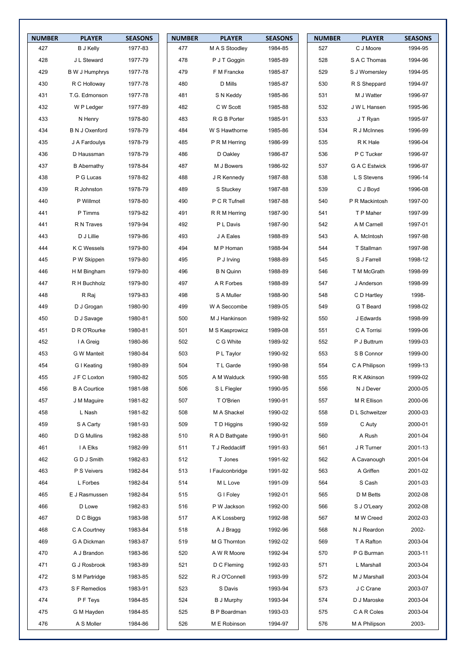| <b>NUMBER</b> | <b>PLAYER</b>         | <b>SEASONS</b> | <b>NUMBER</b> | <b>PLAYER</b>       | <b>SEASONS</b> | <b>NUMBER</b> | <b>PLAYER</b>  | <b>SEASONS</b> |
|---------------|-----------------------|----------------|---------------|---------------------|----------------|---------------|----------------|----------------|
| 427           | <b>B J Kelly</b>      | 1977-83        | 477           | M A S Stoodley      | 1984-85        | 527           | C J Moore      | 1994-95        |
| 428           | J L Steward           | 1977-79        | 478           | P J T Goggin        | 1985-89        | 528           | S A C Thomas   | 1994-96        |
| 429           | B W J Humphrys        | 1977-78        | 479           | F M Francke         | 1985-87        | 529           | S J Womersley  | 1994-95        |
| 430           | R C Holloway          | 1977-78        | 480           | D Mills             | 1985-87        | 530           | R S Sheppard   | 1994-97        |
| 431           | T.G. Edmonson         | 1977-78        | 481           | S N Keddy           | 1985-86        | 531           | M J Watter     | 1996-97        |
| 432           | W P Ledger            | 1977-89        | 482           | C W Scott           | 1985-88        | 532           | J W L Hansen   | 1995-96        |
| 433           | N Henry               | 1978-80        | 483           | R G B Porter        | 1985-91        | 533           | J T Ryan       | 1995-97        |
| 434           | <b>B N J Oxenford</b> | 1978-79        | 484           | W S Hawthorne       | 1985-86        | 534           | R J McInnes    | 1996-99        |
| 435           | J A Fardoulys         | 1978-79        | 485           | P R M Herring       | 1986-99        | 535           | R K Hale       | 1996-04        |
| 436           | D Haussman            | 1978-79        | 486           | D Oakley            | 1986-87        | 536           | P C Tucker     | 1996-97        |
| 437           | <b>B</b> Abernathy    | 1978-84        | 487           | M J Bowers          | 1986-92        | 537           | G A C Estwick  | 1996-97        |
| 438           | P G Lucas             | 1978-82        | 488           | J R Kennedy         | 1987-88        | 538           | L S Stevens    | 1996-14        |
| 439           | R Johnston            | 1978-79        | 489           | S Stuckey           | 1987-88        | 539           | C J Boyd       | 1996-08        |
| 440           | P Willmot             | 1978-80        | 490           | P C R Tufnell       | 1987-88        | 540           | P R Mackintosh | 1997-00        |
| 441           | P Timms               | 1979-82        | 491           | R R M Herring       | 1987-90        | 541           | T P Maher      | 1997-99        |
| 441           | R N Traves            | 1979-94        | 492           | P L Davis           | 1987-90        | 542           | A M Carnell    | 1997-01        |
| 443           | D J Lillie            | 1979-86        | 493           | J A Eales           | 1988-89        | 543           | A. McIntosh    | 1997-98        |
| 444           | K C Wessels           | 1979-80        | 494           | M P Homan           | 1988-94        | 544           | T Stallman     | 1997-98        |
| 445           | P W Skippen           | 1979-80        | 495           | P J Irving          | 1988-89        | 545           | S J Farrell    | 1998-12        |
| 446           | H M Bingham           | 1979-80        | 496           | <b>B N Quinn</b>    | 1988-89        | 546           | T M McGrath    | 1998-99        |
| 447           | R H Buchholz          | 1979-80        | 497           | A R Forbes          | 1988-89        | 547           | J Anderson     | 1998-99        |
| 448           | R Raj                 | 1979-83        | 498           | S A Muller          | 1988-90        | 548           | C D Hartley    | 1998-          |
| 449           | D J Grogan            | 1980-90        | 499           | W A Seccombe        | 1989-05        | 549           | G T Beard      | 1998-02        |
| 450           | D J Savage            | 1980-81        | 500           | M J Hankinson       | 1989-92        | 550           | J Edwards      | 1998-99        |
| 451           | D R O'Rourke          | 1980-81        | 501           | M S Kasprowicz      | 1989-08        | 551           | C A Torrisi    | 1999-06        |
| 452           | I A Greig             | 1980-86        | 502           | C G White           | 1989-92        | 552           | P J Buttrum    | 1999-03        |
| 453           | G W Manteit           | 1980-84        | 503           | P L Taylor          | 1990-92        | 553           | S B Connor     | 1999-00        |
| 454           | G I Keating           | 1980-89        | 504           | T L Garde           | 1990-98        | 554           | C A Philipson  | 1999-13        |
| 455           | J F C Loxton          | 1980-82        | 505           | A M Walduck         | 1990-98        | 555           | R K Atkinson   | 1999-02        |
| 456           | <b>B A Courtice</b>   | 1981-98        | 506           | S L Flegler         | 1990-95        | 556           | N J Dever      | 2000-05        |
| 457           | J M Maguire           | 1981-82        | 507           | T O'Brien           | 1990-91        | 557           | M R Ellison    | 2000-06        |
| 458           | L Nash                | 1981-82        | 508           | M A Shackel         | 1990-02        | 558           | D L Schweitzer | 2000-03        |
| 459           | S A Carty             | 1981-93        | 509           | T D Higgins         | 1990-92        | 559           | C Auty         | 2000-01        |
| 460           | D G Mullins           | 1982-88        | 510           | R A D Bathgate      | 1990-91        | 560           | A Rush         | 2001-04        |
| 461           | I A Elks              | 1982-99        | 511           | T J Reddacliff      | 1991-93        | 561           | J R Turner     | 2001-13        |
| 462           | G D J Smith           | 1982-83        | 512           | T Jones             | 1991-92        | 562           | A Cavanough    | 2001-04        |
| 463           | P S Veivers           | 1982-84        | 513           | I Faulconbridge     | 1991-92        | 563           | A Griffen      | 2001-02        |
| 464           | L Forbes              | 1982-84        | 514           | M L Love            | 1991-09        | 564           | S Cash         | 2001-03        |
| 465           | E J Rasmussen         | 1982-84        | 515           | G I Foley           | 1992-01        | 565           | D M Betts      | 2002-08        |
| 466           | D Lowe                | 1982-83        | 516           | P W Jackson         | 1992-00        | 566           | S J O'Leary    | 2002-08        |
| 467           | D C Biggs             | 1983-98        | 517           | A K Lossberg        | 1992-98        | 567           | M W Creed      | 2002-03        |
| 468           | C A Courtney          | 1983-84        | 518           | A J Bragg           | 1992-96        | 568           | N J Reardon    | 2002-          |
| 469           | G A Dickman           | 1983-87        | 519           | M G Thornton        | 1992-02        | 569           | T A Rafton     | 2003-04        |
| 470           | A J Brandon           | 1983-86        | 520           | A W R Moore         | 1992-94        | 570           | P G Burman     | 2003-11        |
| 471           | G J Rosbrook          | 1983-89        | 521           | D C Fleming         | 1992-93        | 571           | L Marshall     | 2003-04        |
| 472           | S M Partridge         | 1983-85        | 522           | R J O'Connell       | 1993-99        | 572           | M J Marshall   | 2003-04        |
| 473           | S F Remedios          | 1983-91        | 523           | S Davis             | 1993-94        | 573           | J C Crane      | 2003-07        |
| 474           | P F Teys              | 1984-85        | 524           | B J Murphy          | 1993-94        | 574           | D J Maroske    | 2003-04        |
| 475           | G M Hayden            | 1984-85        | 525           | <b>B P Boardman</b> | 1993-03        | 575           | C A R Coles    | 2003-04        |
| 476           | A S Moller            | 1984-86        | 526           | M E Robinson        | 1994-97        | 576           | M A Philipson  | 2003-          |